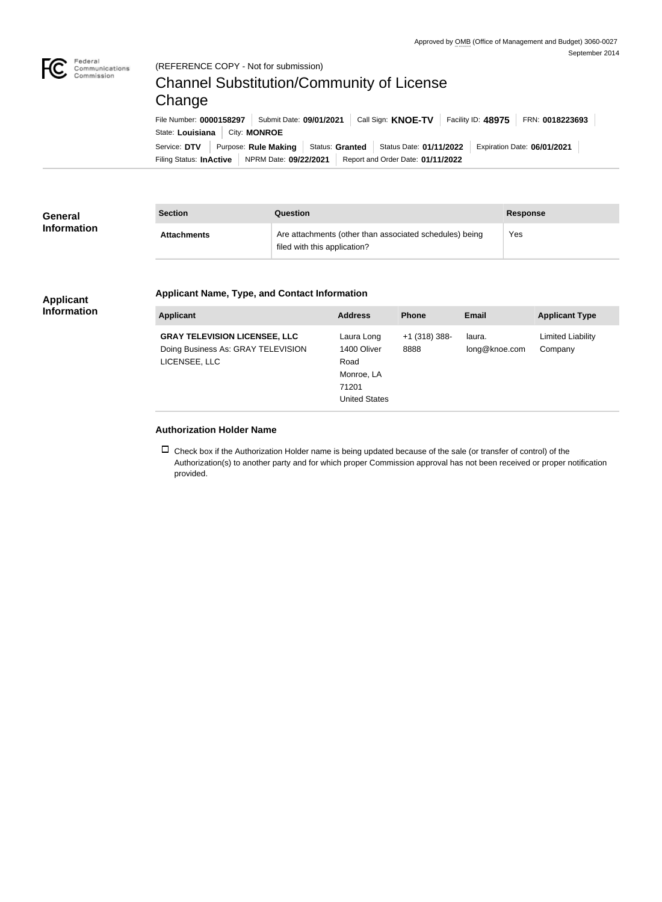

## **Authorization Holder Name**

 $\Box$  Check box if the Authorization Holder name is being updated because of the sale (or transfer of control) of the Authorization(s) to another party and for which proper Commission approval has not been received or proper notification provided.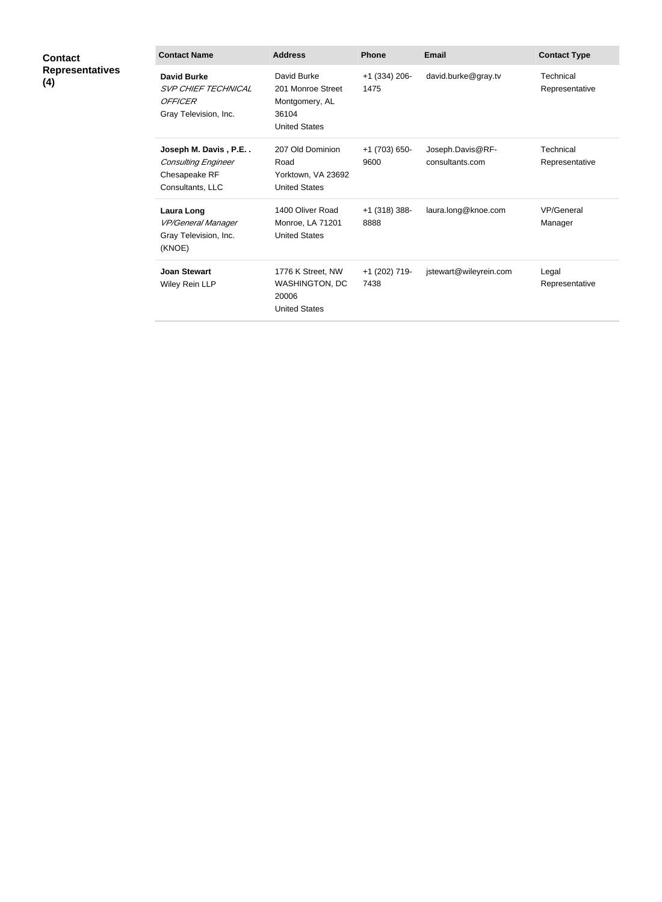| <b>Contact</b><br><b>Representatives</b><br>(4) | <b>Contact Name</b>                                                                     | <b>Address</b>                                                                      | <b>Phone</b>            | <b>Email</b>                        | <b>Contact Type</b>         |
|-------------------------------------------------|-----------------------------------------------------------------------------------------|-------------------------------------------------------------------------------------|-------------------------|-------------------------------------|-----------------------------|
|                                                 | <b>David Burke</b><br><b>SVP CHIEF TECHNICAL</b><br>OFFICER<br>Gray Television, Inc.    | David Burke<br>201 Monroe Street<br>Montgomery, AL<br>36104<br><b>United States</b> | $+1$ (334) 206-<br>1475 | david.burke@gray.tv                 | Technical<br>Representative |
|                                                 | Joseph M. Davis, P.E<br><b>Consulting Engineer</b><br>Chesapeake RF<br>Consultants, LLC | 207 Old Dominion<br>Road<br>Yorktown, VA 23692<br><b>United States</b>              | +1 (703) 650-<br>9600   | Joseph.Davis@RF-<br>consultants.com | Technical<br>Representative |
|                                                 | <b>Laura Long</b><br>VP/General Manager<br>Gray Television, Inc.<br>(KNOE)              | 1400 Oliver Road<br>Monroe, LA 71201<br><b>United States</b>                        | $+1$ (318) 388-<br>8888 | laura.long@knoe.com                 | VP/General<br>Manager       |
|                                                 | <b>Joan Stewart</b><br>Wiley Rein LLP                                                   | 1776 K Street, NW<br>WASHINGTON, DC<br>20006<br><b>United States</b>                | +1 (202) 719-<br>7438   | jstewart@wileyrein.com              | Legal<br>Representative     |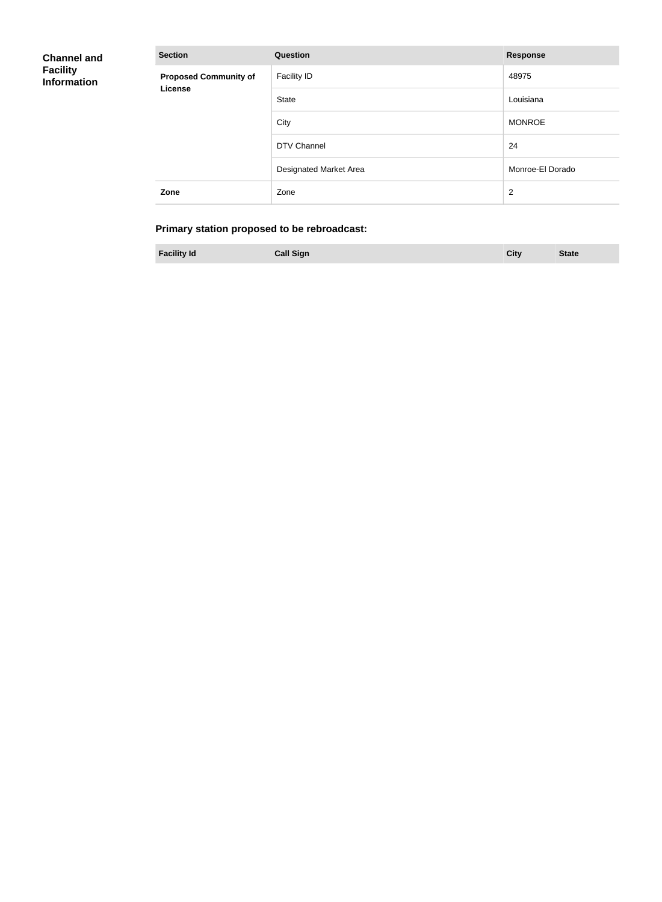| <b>Channel and</b><br><b>Facility</b><br><b>Information</b> | <b>Section</b>                          | <b>Question</b>        | <b>Response</b>  |
|-------------------------------------------------------------|-----------------------------------------|------------------------|------------------|
|                                                             | <b>Proposed Community of</b><br>License | <b>Facility ID</b>     | 48975            |
|                                                             |                                         | State                  | Louisiana        |
|                                                             |                                         | City                   | <b>MONROE</b>    |
|                                                             |                                         | DTV Channel            | 24               |
|                                                             |                                         | Designated Market Area | Monroe-El Dorado |
|                                                             | Zone                                    | Zone                   | $\overline{2}$   |

## **Primary station proposed to be rebroadcast:**

| <b>Facility Id</b><br><b>Call Sign</b><br><b>State</b> |  |
|--------------------------------------------------------|--|
|--------------------------------------------------------|--|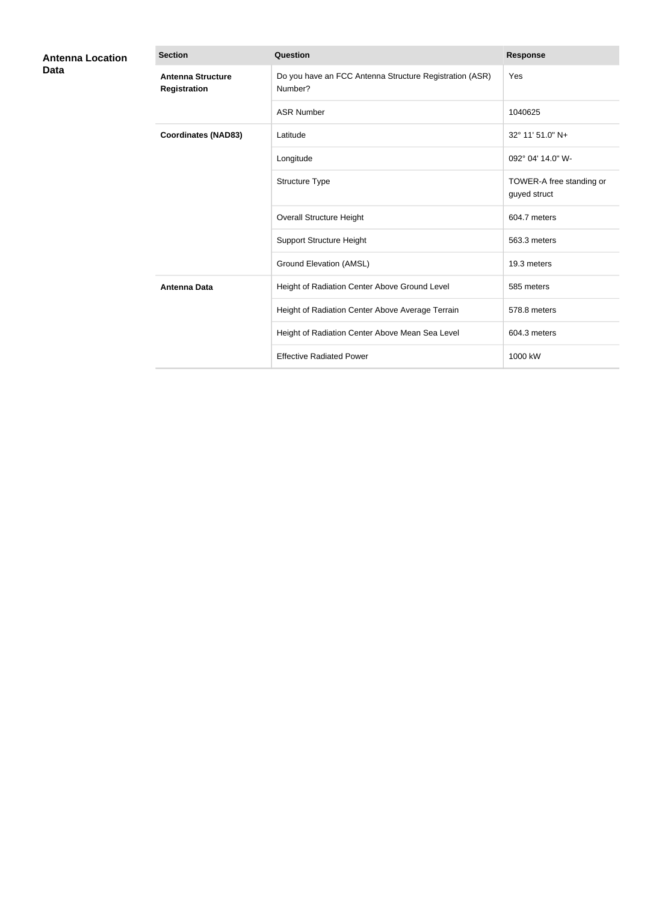| <b>Antenna Location</b><br>Data | <b>Section</b>                                  | <b>Question</b>                                                    | <b>Response</b>                          |
|---------------------------------|-------------------------------------------------|--------------------------------------------------------------------|------------------------------------------|
|                                 | <b>Antenna Structure</b><br><b>Registration</b> | Do you have an FCC Antenna Structure Registration (ASR)<br>Number? | Yes                                      |
|                                 |                                                 | <b>ASR Number</b>                                                  | 1040625                                  |
|                                 | <b>Coordinates (NAD83)</b>                      | Latitude                                                           | 32° 11' 51.0" N+                         |
|                                 |                                                 | Longitude                                                          | 092° 04' 14.0" W-                        |
|                                 |                                                 | Structure Type                                                     | TOWER-A free standing or<br>guyed struct |
|                                 |                                                 | <b>Overall Structure Height</b>                                    | 604.7 meters                             |
|                                 |                                                 | <b>Support Structure Height</b>                                    | 563.3 meters                             |
|                                 |                                                 | <b>Ground Elevation (AMSL)</b>                                     | 19.3 meters                              |
|                                 | <b>Antenna Data</b>                             | Height of Radiation Center Above Ground Level                      | 585 meters                               |
|                                 |                                                 | Height of Radiation Center Above Average Terrain                   | 578.8 meters                             |
|                                 |                                                 | Height of Radiation Center Above Mean Sea Level                    | 604.3 meters                             |
|                                 |                                                 | <b>Effective Radiated Power</b>                                    | 1000 kW                                  |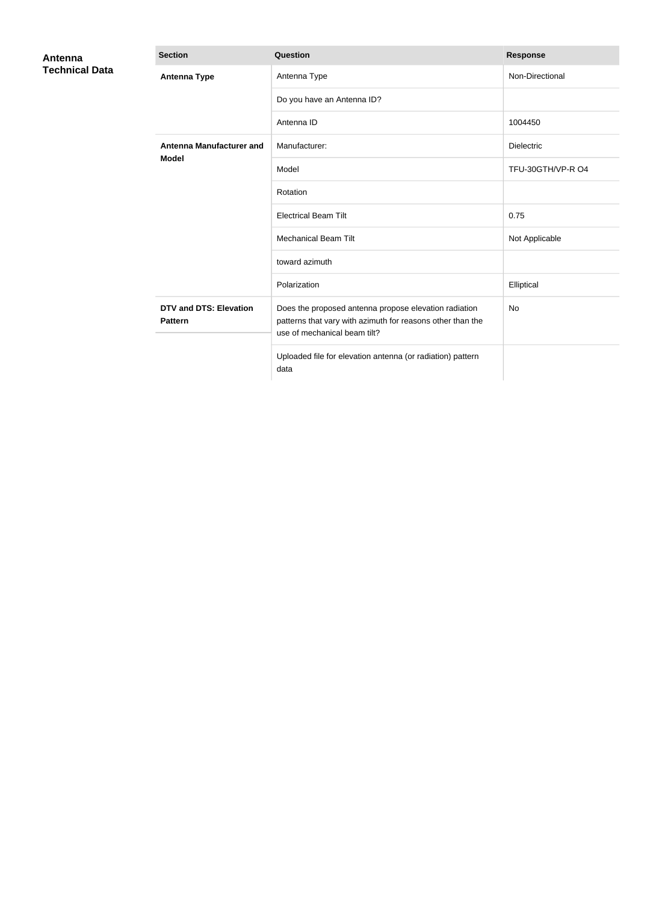| Antenna<br><b>Technical Data</b> | <b>Section</b>                                  | Question                                                                                                                                            | <b>Response</b>   |
|----------------------------------|-------------------------------------------------|-----------------------------------------------------------------------------------------------------------------------------------------------------|-------------------|
|                                  | <b>Antenna Type</b>                             | Antenna Type                                                                                                                                        | Non-Directional   |
|                                  |                                                 | Do you have an Antenna ID?                                                                                                                          |                   |
|                                  |                                                 | Antenna ID                                                                                                                                          | 1004450           |
|                                  | <b>Antenna Manufacturer and</b><br><b>Model</b> | Manufacturer:                                                                                                                                       | <b>Dielectric</b> |
|                                  |                                                 | Model                                                                                                                                               | TFU-30GTH/VP-R O4 |
|                                  |                                                 | Rotation                                                                                                                                            |                   |
|                                  |                                                 | <b>Electrical Beam Tilt</b>                                                                                                                         | 0.75              |
|                                  |                                                 | <b>Mechanical Beam Tilt</b>                                                                                                                         | Not Applicable    |
|                                  |                                                 | toward azimuth                                                                                                                                      |                   |
|                                  |                                                 | Polarization                                                                                                                                        | Elliptical        |
|                                  | <b>DTV and DTS: Elevation</b><br><b>Pattern</b> | Does the proposed antenna propose elevation radiation<br>patterns that vary with azimuth for reasons other than the<br>use of mechanical beam tilt? | <b>No</b>         |
|                                  |                                                 | Uploaded file for elevation antenna (or radiation) pattern<br>data                                                                                  |                   |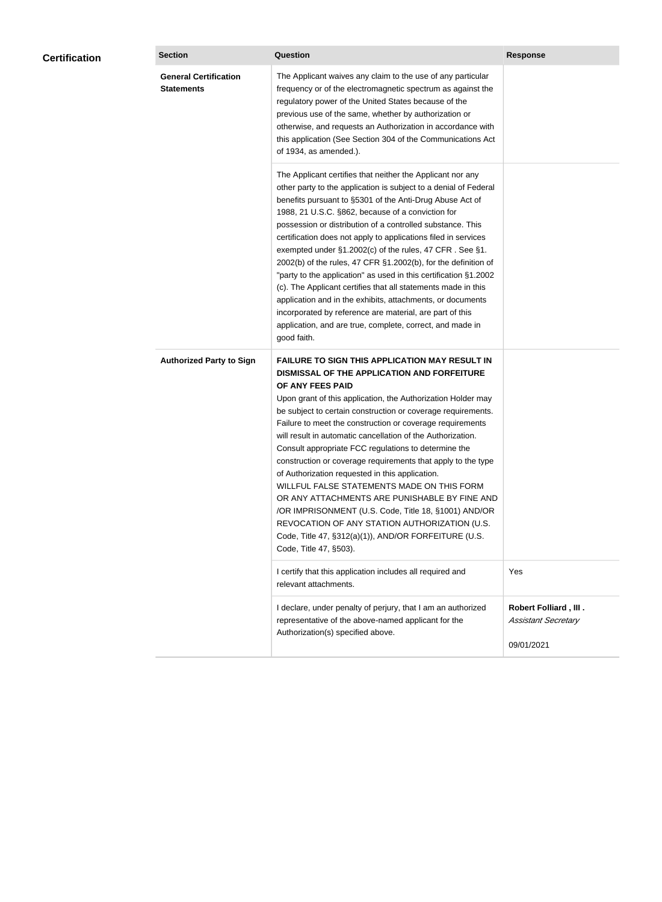| <b>Certification</b> | <b>Section</b>                                    | Question                                                                                                                                                                                                                                                                                                                                                                                                                                                                                                                                                                                                                                                                                                                                                                                                                                                  | <b>Response</b>                                                          |
|----------------------|---------------------------------------------------|-----------------------------------------------------------------------------------------------------------------------------------------------------------------------------------------------------------------------------------------------------------------------------------------------------------------------------------------------------------------------------------------------------------------------------------------------------------------------------------------------------------------------------------------------------------------------------------------------------------------------------------------------------------------------------------------------------------------------------------------------------------------------------------------------------------------------------------------------------------|--------------------------------------------------------------------------|
|                      | <b>General Certification</b><br><b>Statements</b> | The Applicant waives any claim to the use of any particular<br>frequency or of the electromagnetic spectrum as against the<br>regulatory power of the United States because of the<br>previous use of the same, whether by authorization or<br>otherwise, and requests an Authorization in accordance with<br>this application (See Section 304 of the Communications Act<br>of 1934, as amended.).                                                                                                                                                                                                                                                                                                                                                                                                                                                       |                                                                          |
|                      |                                                   | The Applicant certifies that neither the Applicant nor any<br>other party to the application is subject to a denial of Federal<br>benefits pursuant to §5301 of the Anti-Drug Abuse Act of<br>1988, 21 U.S.C. §862, because of a conviction for<br>possession or distribution of a controlled substance. This<br>certification does not apply to applications filed in services<br>exempted under §1.2002(c) of the rules, 47 CFR. See §1.<br>2002(b) of the rules, 47 CFR §1.2002(b), for the definition of<br>"party to the application" as used in this certification §1.2002<br>(c). The Applicant certifies that all statements made in this<br>application and in the exhibits, attachments, or documents<br>incorporated by reference are material, are part of this<br>application, and are true, complete, correct, and made in<br>good faith.   |                                                                          |
|                      | <b>Authorized Party to Sign</b>                   | <b>FAILURE TO SIGN THIS APPLICATION MAY RESULT IN</b><br>DISMISSAL OF THE APPLICATION AND FORFEITURE<br>OF ANY FEES PAID<br>Upon grant of this application, the Authorization Holder may<br>be subject to certain construction or coverage requirements.<br>Failure to meet the construction or coverage requirements<br>will result in automatic cancellation of the Authorization.<br>Consult appropriate FCC regulations to determine the<br>construction or coverage requirements that apply to the type<br>of Authorization requested in this application.<br>WILLFUL FALSE STATEMENTS MADE ON THIS FORM<br>OR ANY ATTACHMENTS ARE PUNISHABLE BY FINE AND<br>/OR IMPRISONMENT (U.S. Code, Title 18, §1001) AND/OR<br>REVOCATION OF ANY STATION AUTHORIZATION (U.S.<br>Code, Title 47, §312(a)(1)), AND/OR FORFEITURE (U.S.<br>Code, Title 47, §503). |                                                                          |
|                      |                                                   | I certify that this application includes all required and<br>relevant attachments.                                                                                                                                                                                                                                                                                                                                                                                                                                                                                                                                                                                                                                                                                                                                                                        | Yes                                                                      |
|                      |                                                   | I declare, under penalty of perjury, that I am an authorized<br>representative of the above-named applicant for the<br>Authorization(s) specified above.                                                                                                                                                                                                                                                                                                                                                                                                                                                                                                                                                                                                                                                                                                  | <b>Robert Folliard, III.</b><br><b>Assistant Secretary</b><br>09/01/2021 |